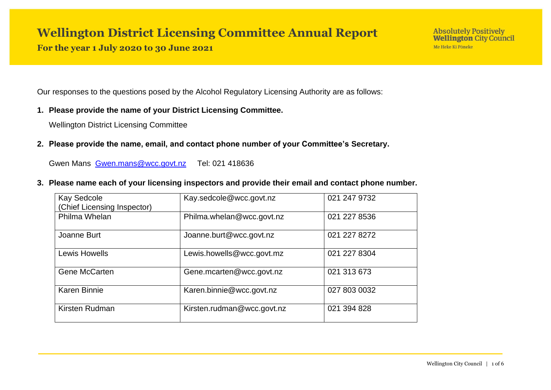# **Wellington District Licensing Committee Annual Report**

**For the year 1 July 2020 to 30 June 2021**

Our responses to the questions posed by the Alcohol Regulatory Licensing Authority are as follows:

**1. Please provide the name of your District Licensing Committee.**

Wellington District Licensing Committee

**2. Please provide the name, email, and contact phone number of your Committee's Secretary.**

Gwen Mans [Gwen.mans@wcc.govt.nz](mailto:Gwen.mans@wcc.govt.nz) Tel: 021 418636

**3. Please name each of your licensing inspectors and provide their email and contact phone number.**

| Kay Sedcole<br>(Chief Licensing Inspector) | Kay.sedcole@wcc.govt.nz    | 021 247 9732 |
|--------------------------------------------|----------------------------|--------------|
| Philma Whelan                              | Philma.whelan@wcc.govt.nz  | 021 227 8536 |
| Joanne Burt                                | Joanne.burt@wcc.govt.nz    | 021 227 8272 |
| <b>Lewis Howells</b>                       | Lewis.howells@wcc.govt.mz  | 021 227 8304 |
| Gene McCarten                              | Gene.mcarten@wcc.govt.nz   | 021 313 673  |
| <b>Karen Binnie</b>                        | Karen.binnie@wcc.govt.nz   | 027 803 0032 |
| Kirsten Rudman                             | Kirsten.rudman@wcc.govt.nz | 021 394 828  |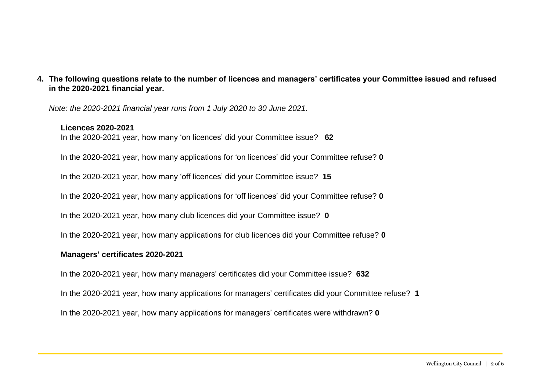**4. The following questions relate to the number of licences and managers' certificates your Committee issued and refused in the 2020-2021 financial year.** 

*Note: the 2020-2021 financial year runs from 1 July 2020 to 30 June 2021.*

**Licences 2020-2021** In the 2020-2021 year, how many 'on licences' did your Committee issue? **62** In the 2020-2021 year, how many applications for 'on licences' did your Committee refuse? **0** In the 2020-2021 year, how many 'off licences' did your Committee issue? **15** In the 2020-2021 year, how many applications for 'off licences' did your Committee refuse? **0** In the 2020-2021 year, how many club licences did your Committee issue? **0** In the 2020-2021 year, how many applications for club licences did your Committee refuse? **0 Managers' certificates 2020-2021**

In the 2020-2021 year, how many managers' certificates did your Committee issue? **632**

In the 2020-2021 year, how many applications for managers' certificates did your Committee refuse? **1**

In the 2020-2021 year, how many applications for managers' certificates were withdrawn? **0**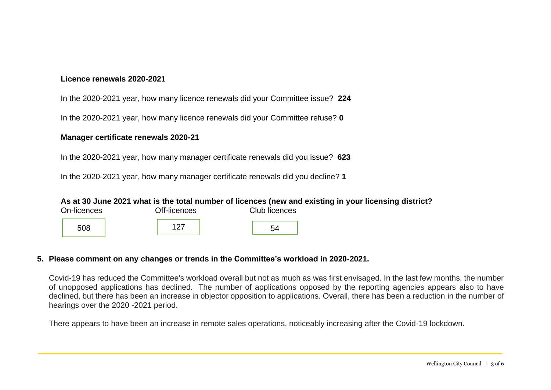#### **Licence renewals 2020-2021**

In the 2020-2021 year, how many licence renewals did your Committee issue? **224**

In the 2020-2021 year, how many licence renewals did your Committee refuse? **0**

#### **Manager certificate renewals 2020-21**

In the 2020-2021 year, how many manager certificate renewals did you issue? **623**

In the 2020-2021 year, how many manager certificate renewals did you decline? **1**

#### **As at 30 June 2021 what is the total number of licences (new and existing in your licensing district?**

| On-licences | Off-licences | Club licences |
|-------------|--------------|---------------|
| 508         |              |               |

#### **5. Please comment on any changes or trends in the Committee's workload in 2020-2021.**

Covid-19 has reduced the Committee's workload overall but not as much as was first envisaged. In the last few months, the number of unopposed applications has declined. The number of applications opposed by the reporting agencies appears also to have declined, but there has been an increase in objector opposition to applications. Overall, there has been a reduction in the number of hearings over the 2020 -2021 period.

There appears to have been an increase in remote sales operations, noticeably increasing after the Covid-19 lockdown.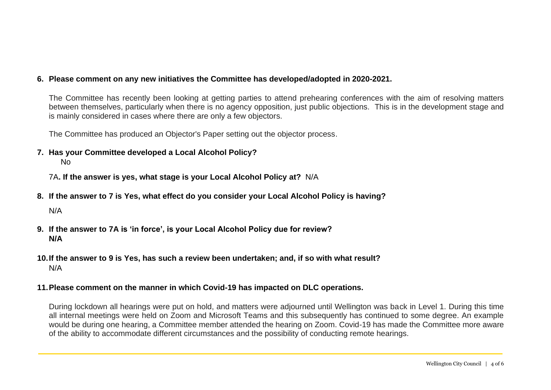# **6. Please comment on any new initiatives the Committee has developed/adopted in 2020-2021.**

The Committee has recently been looking at getting parties to attend prehearing conferences with the aim of resolving matters between themselves, particularly when there is no agency opposition, just public objections. This is in the development stage and is mainly considered in cases where there are only a few objectors.

The Committee has produced an Objector's Paper setting out the objector process.

**7. Has your Committee developed a Local Alcohol Policy?** No

7A**. If the answer is yes, what stage is your Local Alcohol Policy at?** N/A

**8. If the answer to 7 is Yes, what effect do you consider your Local Alcohol Policy is having?**

N/A

- **9. If the answer to 7A is 'in force', is your Local Alcohol Policy due for review? N/A**
- **10.If the answer to 9 is Yes, has such a review been undertaken; and, if so with what result?** N/A

# **11.Please comment on the manner in which Covid-19 has impacted on DLC operations.**

During lockdown all hearings were put on hold, and matters were adjourned until Wellington was back in Level 1. During this time all internal meetings were held on Zoom and Microsoft Teams and this subsequently has continued to some degree. An example would be during one hearing, a Committee member attended the hearing on Zoom. Covid-19 has made the Committee more aware of the ability to accommodate different circumstances and the possibility of conducting remote hearings.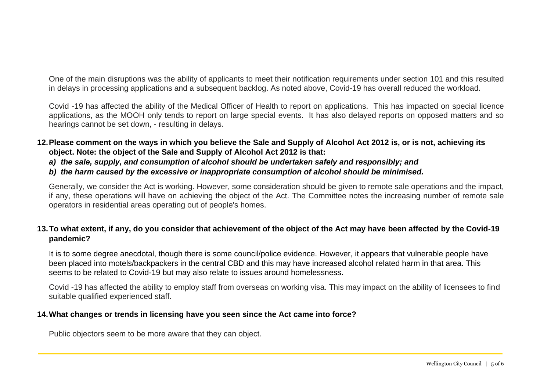One of the main disruptions was the ability of applicants to meet their notification requirements under section 101 and this resulted in delays in processing applications and a subsequent backlog. As noted above, Covid-19 has overall reduced the workload.

Covid -19 has affected the ability of the Medical Officer of Health to report on applications. This has impacted on special licence applications, as the MOOH only tends to report on large special events. It has also delayed reports on opposed matters and so hearings cannot be set down, - resulting in delays.

- **12.Please comment on the ways in which you believe the Sale and Supply of Alcohol Act 2012 is, or is not, achieving its object. Note: the object of the Sale and Supply of Alcohol Act 2012 is that:** 
	- *a) the sale, supply, and consumption of alcohol should be undertaken safely and responsibly; and*
	- *b) the harm caused by the excessive or inappropriate consumption of alcohol should be minimised.*

Generally, we consider the Act is working. However, some consideration should be given to remote sale operations and the impact, if any, these operations will have on achieving the object of the Act. The Committee notes the increasing number of remote sale operators in residential areas operating out of people's homes.

# **13.To what extent, if any, do you consider that achievement of the object of the Act may have been affected by the Covid-19 pandemic?**

It is to some degree anecdotal, though there is some council/police evidence. However, it appears that vulnerable people have been placed into motels/backpackers in the central CBD and this may have increased alcohol related harm in that area. This seems to be related to Covid-19 but may also relate to issues around homelessness.

Covid -19 has affected the ability to employ staff from overseas on working visa. This may impact on the ability of licensees to find suitable qualified experienced staff.

### **14.What changes or trends in licensing have you seen since the Act came into force?**

Public objectors seem to be more aware that they can object.